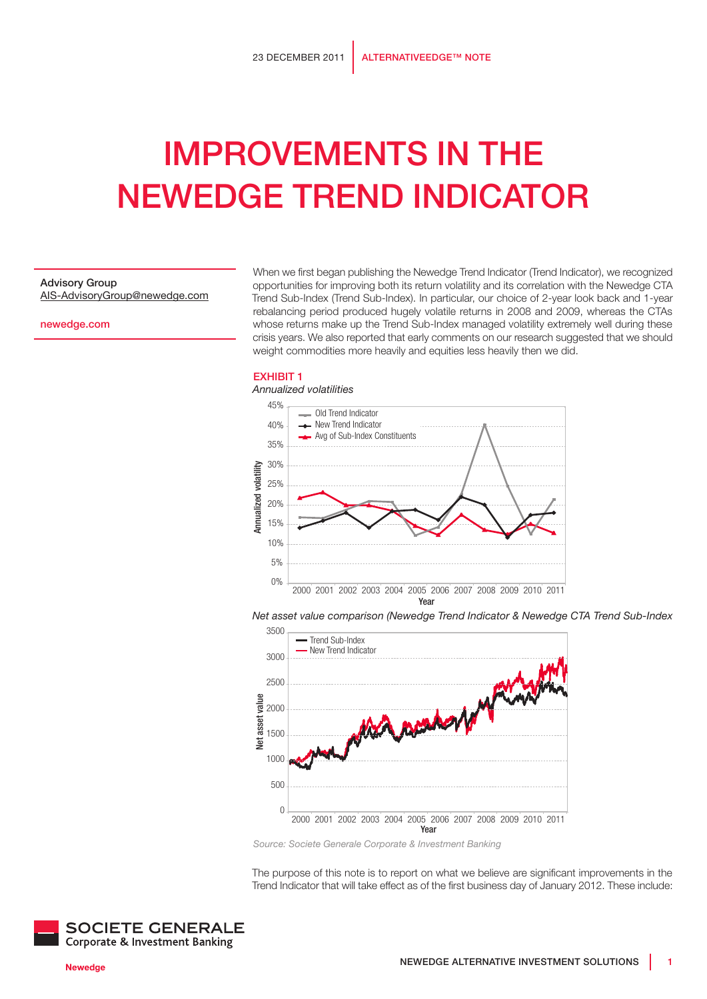# Improvements in the Newedge Trend Indicator

### Advisory Group

AIS-AdvisoryGroup@newedge.com

newedge.com

When we first began publishing the Newedge Trend Indicator (Trend Indicator), we recognized opportunities for improving both its return volatility and its correlation with the Newedge CTA Trend Sub-Index (Trend Sub-Index). In particular, our choice of 2-year look back and 1-year rebalancing period produced hugely volatile returns in 2008 and 2009, whereas the CTAs whose returns make up the Trend Sub-Index managed volatility extremely well during these crisis years. We also reported that early comments on our research suggested that we should weight commodities more heavily and equities less heavily then we did.

#### **EXHIBIT 1**



*Net asset value comparison (Newedge Trend Indicator & Newedge CTA Trend Sub-Index*



*Source: Societe Generale Corporate & Investment Banking*

The purpose of this note is to report on what we believe are significant improvements in the Trend Indicator that will take effect as of the first business day of January 2012. These include:

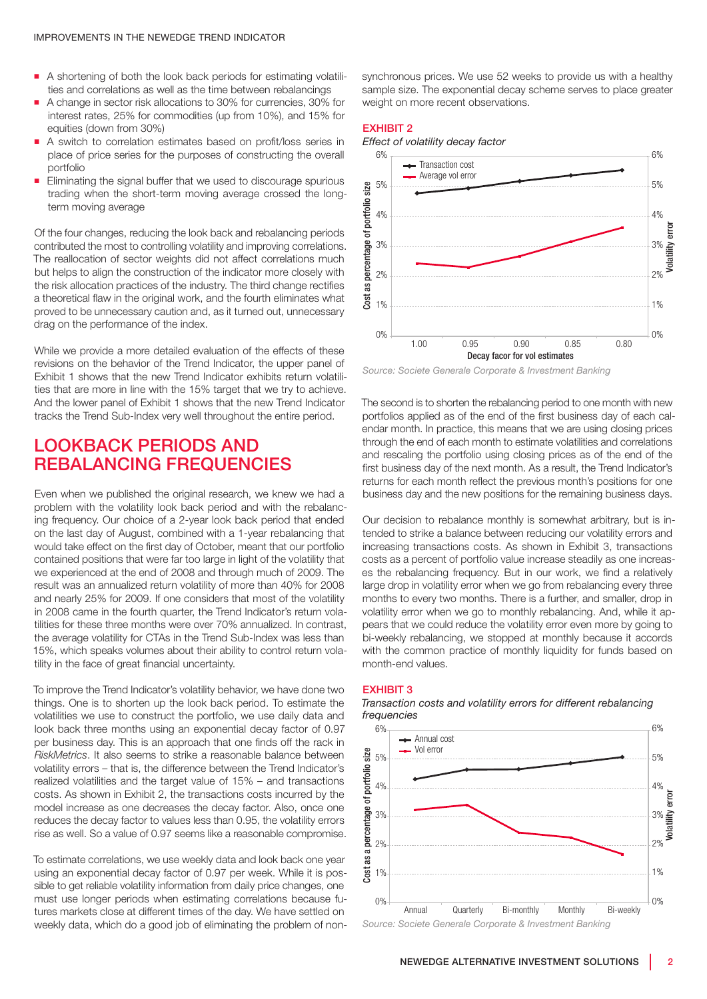- p A shortening of both the look back periods for estimating volatilities and correlations as well as the time between rebalancings
- A change in sector risk allocations to 30% for currencies, 30% for interest rates, 25% for commodities (up from 10%), and 15% for equities (down from 30%)
- A switch to correlation estimates based on profit/loss series in place of price series for the purposes of constructing the overall portfolio
- Eliminating the signal buffer that we used to discourage spurious trading when the short-term moving average crossed the longterm moving average

Of the four changes, reducing the look back and rebalancing periods contributed the most to controlling volatility and improving correlations. The reallocation of sector weights did not affect correlations much but helps to align the construction of the indicator more closely with the risk allocation practices of the industry. The third change rectifies a theoretical flaw in the original work, and the fourth eliminates what proved to be unnecessary caution and, as it turned out, unnecessary drag on the performance of the index.

While we provide a more detailed evaluation of the effects of these revisions on the behavior of the Trend Indicator, the upper panel of Exhibit 1 shows that the new Trend Indicator exhibits return volatilities that are more in line with the 15% target that we try to achieve. And the lower panel of Exhibit 1 shows that the new Trend Indicator tracks the Trend Sub-Index very well throughout the entire period.

# Lookback periods and rebalancing frequencies

Even when we published the original research, we knew we had a problem with the volatility look back period and with the rebalancing frequency. Our choice of a 2-year look back period that ended on the last day of August, combined with a 1-year rebalancing that would take effect on the first day of October, meant that our portfolio contained positions that were far too large in light of the volatility that we experienced at the end of 2008 and through much of 2009. The result was an annualized return volatility of more than 40% for 2008 and nearly 25% for 2009. If one considers that most of the volatility in 2008 came in the fourth quarter, the Trend Indicator's return volatilities for these three months were over 70% annualized. In contrast, the average volatility for CTAs in the Trend Sub-Index was less than 15%, which speaks volumes about their ability to control return volatility in the face of great financial uncertainty.

To improve the Trend Indicator's volatility behavior, we have done two things. One is to shorten up the look back period. To estimate the volatilities we use to construct the portfolio, we use daily data and look back three months using an exponential decay factor of 0.97 per business day. This is an approach that one finds off the rack in *RiskMetrics*. It also seems to strike a reasonable balance between volatility errors – that is, the difference between the Trend Indicator's realized volatilities and the target value of 15% – and transactions costs. As shown in Exhibit 2, the transactions costs incurred by the model increase as one decreases the decay factor. Also, once one reduces the decay factor to values less than 0.95, the volatility errors rise as well. So a value of 0.97 seems like a reasonable compromise.

To estimate correlations, we use weekly data and look back one year using an exponential decay factor of 0.97 per week. While it is possible to get reliable volatility information from daily price changes, one must use longer periods when estimating correlations because futures markets close at different times of the day. We have settled on weekly data, which do a good job of eliminating the problem of nonsynchronous prices. We use 52 weeks to provide us with a healthy sample size. The exponential decay scheme serves to place greater weight on more recent observations.

#### Exhibit 2





*Source: Societe Generale Corporate & Investment Banking*

The second is to shorten the rebalancing period to one month with new portfolios applied as of the end of the first business day of each calendar month. In practice, this means that we are using closing prices through the end of each month to estimate volatilities and correlations and rescaling the portfolio using closing prices as of the end of the first business day of the next month. As a result, the Trend Indicator's returns for each month reflect the previous month's positions for one business day and the new positions for the remaining business days.

Our decision to rebalance monthly is somewhat arbitrary, but is intended to strike a balance between reducing our volatility errors and increasing transactions costs. As shown in Exhibit 3, transactions costs as a percent of portfolio value increase steadily as one increases the rebalancing frequency. But in our work, we find a relatively large drop in volatility error when we go from rebalancing every three months to every two months. There is a further, and smaller, drop in volatility error when we go to monthly rebalancing. And, while it appears that we could reduce the volatility error even more by going to bi-weekly rebalancing, we stopped at monthly because it accords with the common practice of monthly liquidity for funds based on month-end values.

#### **EXHIBIT 3**





*Source: Societe Generale Corporate & Investment Banking*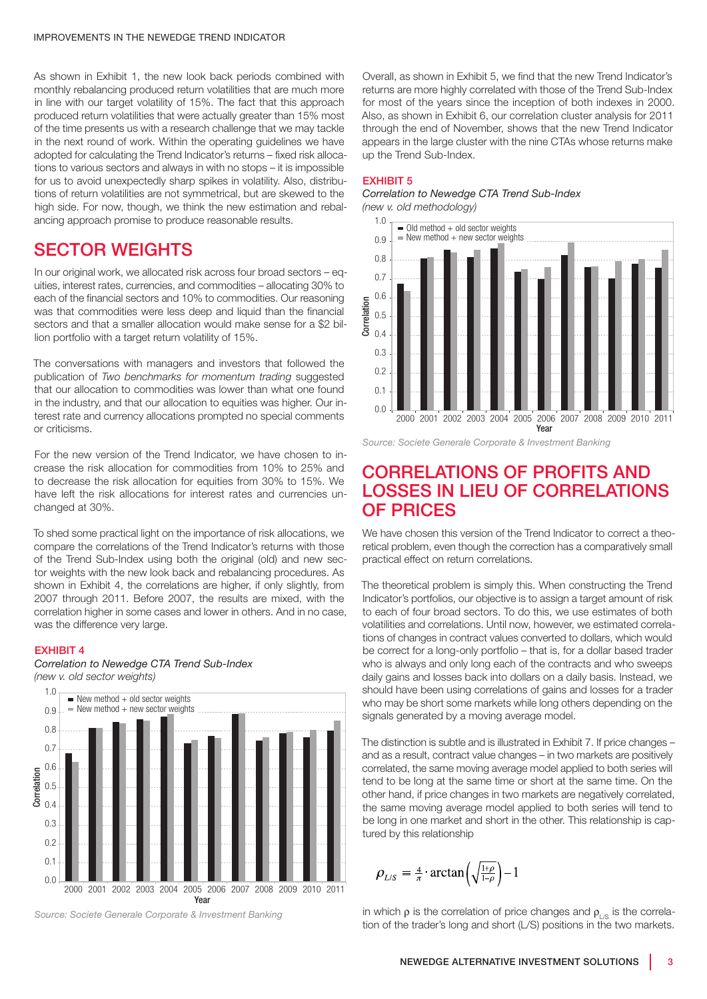As shown in Exhibit 1, the new look back periods combined with monthly rebalancing produced return volatilities that are much more in line with our target volatility of 15%. The fact that this approach produced return volatilities that were actually greater than 15% most of the time presents us with a research challenge that we may tackle in the next round of work. Within the operating guidelines we have adopted for calculating the Trend Indicator's returns – fixed risk allocations to various sectors and always in with no stops – it is impossible for us to avoid unexpectedly sharp spikes in volatility. Also, distributions of return volatilities are not symmetrical, but are skewed to the high side. For now, though, we think the new estimation and rebalancing approach promise to produce reasonable results.

## Sector weights

In our original work, we allocated risk across four broad sectors – equities, interest rates, currencies, and commodities – allocating 30% to each of the financial sectors and 10% to commodities. Our reasoning was that commodities were less deep and liquid than the financial sectors and that a smaller allocation would make sense for a \$2 billion portfolio with a target return volatility of 15%.

The conversations with managers and investors that followed the publication of *Two benchmarks for momentum trading* suggested that our allocation to commodities was lower than what one found in the industry, and that our allocation to equities was higher. Our interest rate and currency allocations prompted no special comments or criticisms.

For the new version of the Trend Indicator, we have chosen to increase the risk allocation for commodities from 10% to 25% and to decrease the risk allocation for equities from 30% to 15%. We have left the risk allocations for interest rates and currencies unchanged at 30%.

To shed some practical light on the importance of risk allocations, we compare the correlations of the Trend Indicator's returns with those of the Trend Sub-Index using both the original (old) and new sector weights with the new look back and rebalancing procedures. As shown in Exhibit 4, the correlations are higher, if only slightly, from 2007 through 2011. Before 2007, the results are mixed, with the correlation higher in some cases and lower in others. And in no case, was the difference very large.

#### Exhibit 4

*Correlation to Newedge CTA Trend Sub-Index (new v. old sector weights)*



*Source: Societe Generale Corporate & Investment Banking*

Overall, as shown in Exhibit 5, we find that the new Trend Indicator's returns are more highly correlated with those of the Trend Sub-Index for most of the years since the inception of both indexes in 2000. Also, as shown in Exhibit 6, our correlation cluster analysis for 2011 through the end of November, shows that the new Trend Indicator appears in the large cluster with the nine CTAs whose returns make up the Trend Sub-Index.

#### **EXHIBIT 5**

#### *Correlation to Newedge CTA Trend Sub-Index (new v. old methodology)*



*Source: Societe Generale Corporate & Investment Banking*

## Correlations of profits and losses in lieu of correlations of prices

We have chosen this version of the Trend Indicator to correct a theoretical problem, even though the correction has a comparatively small practical effect on return correlations.

The theoretical problem is simply this. When constructing the Trend Indicator's portfolios, our objective is to assign a target amount of risk to each of four broad sectors. To do this, we use estimates of both volatilities and correlations. Until now, however, we estimated correlations of changes in contract values converted to dollars, which would be correct for a long-only portfolio – that is, for a dollar based trader who is always and only long each of the contracts and who sweeps daily gains and losses back into dollars on a daily basis. Instead, we should have been using correlations of gains and losses for a trader who may be short some markets while long others depending on the signals generated by a moving average model.

The distinction is subtle and is illustrated in Exhibit 7. If price changes – and as a result, contract value changes – in two markets are positively correlated, the same moving average model applied to both series will tend to be long at the same time or short at the same time. On the other hand, if price changes in two markets are negatively correlated, the same moving average model applied to both series will tend to be long in one market and short in the other. This relationship is captured by this relationship

$$
\rho_{L/S} = \frac{4}{\pi} \cdot \arctan\left(\sqrt{\frac{1+\rho}{1-\rho}}\right) - 1
$$

in which  $\rho$  is the correlation of price changes and  $\rho_{LS}$  is the correlation of the trader's long and short (L/S) positions in the two markets.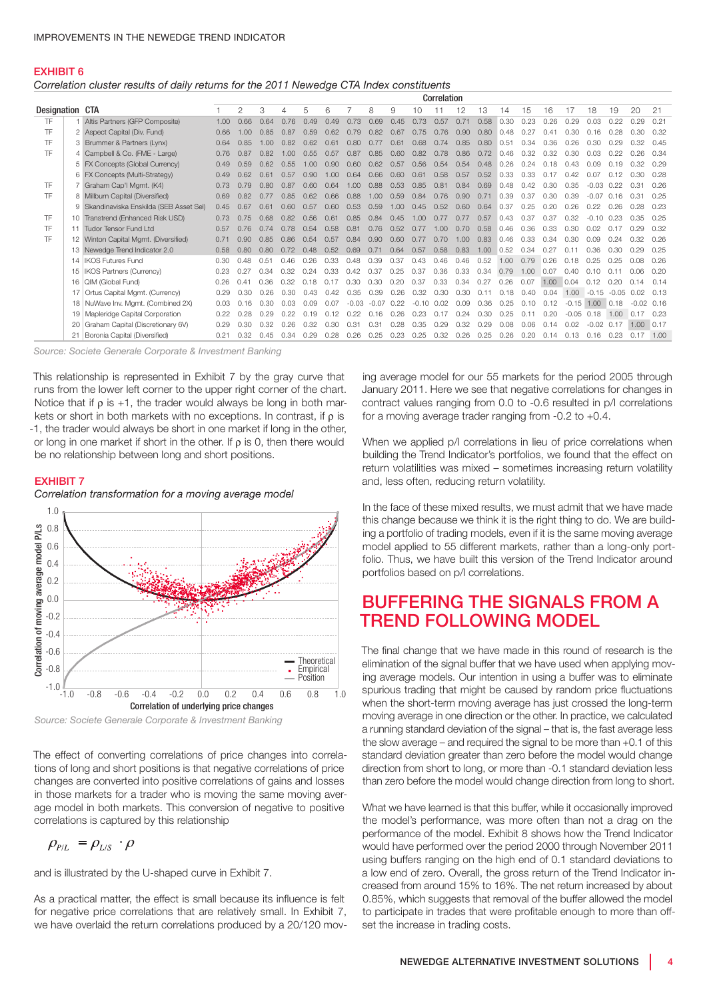#### EXHIBIT 6

*Correlation cluster results of daily returns for the 2011 Newedge CTA Index constituents*

|                 |                                          |      | Correlation    |      |      |      |               |         |         |      |         |      |      |      |      |      |      |         |              |         |         |      |
|-----------------|------------------------------------------|------|----------------|------|------|------|---------------|---------|---------|------|---------|------|------|------|------|------|------|---------|--------------|---------|---------|------|
| Designation CTA |                                          |      | $\overline{2}$ | 3    | 4    | 5    | 6             |         | 8       | 9    | 10      |      | 12   | 13   | 14   | 15   | 16   | 17      | 18           | 19      | 20      | 21   |
| <b>TF</b>       | 1 Altis Partners (GFP Composite)         | 1.00 | 0.66           | 0.64 | 0.76 | 0.49 | 0.49          | 0.73    | 0.69    | 0.45 | 0.73    | 0.57 | 0.71 | 0.58 | 0.30 | 0.23 | 0.26 | 0.29    | 0.03         | 0.22    | 0.29    | 0.21 |
| TF              | 2 Aspect Capital (Div. Fund)             | 0.66 | 1.00           | 0.85 | 0.87 | 0.59 | 0.62          | 0.79    | 0.82    | 0.67 | 0.75    | 0.76 | 0.90 | 0.80 | 0.48 | 0.27 | 0.41 | 0.30    | 0.16         | 0.28    | 0.30    | 0.32 |
| TF              | 3 Brummer & Partners (Lynx)              | 0.64 | 0.85           | 1.00 | 0.82 | 0.62 | $0.6^{\circ}$ | 0.80    | 0.77    | 0.61 | 0.68    | 0.74 | 0.85 | 0.80 | 0.51 | 0.34 | 0.36 | 0.26    | 0.30         | 0.29    | 0.32    | 0.45 |
| TF              | 4 Campbell & Co. (FME - Large)           | 0.76 | 0.87           | 0.82 | 1.00 | 0.55 | 0.57          | 0.87    | 0.85    | 0.60 | 0.82    | 0.78 | 0.86 | 0.72 | 0.46 | 0.32 | 0.32 | 0.30    | 0.03         | 0.22    | 0.26    | 0.34 |
|                 | 5 FX Concepts (Global Currency)          | 0.49 | 0.59           | 0.62 | 0.55 | 1.00 | 0.90          | 0.60    | 0.62    | 0.57 | 0.56    | 0.54 | 0.54 | 0.48 | 0.26 | 0.24 | 0.18 | 0.43    | 0.09         | 0.19    | 0.32    | 0.29 |
|                 | 6 FX Concepts (Multi-Strategy)           | 0.49 | 0.62           | 0.61 | 0.57 | 0.90 | 1.00          | 0.64    | 0.66    | 0.60 | 0.61    | 0.58 | 0.57 | 0.52 | 0.33 | 0.33 | 0.17 | 0.42    | 0.07         | 0.12    | 0.30    | 0.28 |
| TF              | 7 Graham Cap'l Mgmt. (K4)                | 0.73 | 0.79           | 0.80 | 0.87 | 0.60 | 0.64          | 1.00    | 0.88    | 0.53 | 0.85    | 0.81 | 0.84 | 0.69 | 0.48 | 0.42 | 0.30 | 0.35    | $-0.03$ 0.22 |         | 0.31    | 0.26 |
| <b>TF</b>       | 8 Millburn Capital (Diversified)         | 0.69 | 0.82           | 0.77 | 0.85 | 0.62 | 0.66          | 0.88    | 1.00    | 0.59 | 0.84    | 0.76 | 0.90 | 0.71 | 0.39 | 0.37 | 0.30 | 0.39    | $-0.07$      | 0.16    | 0.31    | 0.25 |
|                 | 9 Skandinaviska Enskilda (SEB Asset Sel) | 0.45 | 0.67           | 0.61 | 0.60 | 0.57 | 0.60          | 0.53    | 0.59    | 1.00 | 0.45    | 0.52 | 0.60 | 0.64 | 0.37 | 0.25 | 0.20 | 0.26    | 0.22         | 0.26    | 0.28    | 0.23 |
| <b>TF</b>       | 10 Transtrend (Enhanced Risk USD)        | 0.73 | 0.75           | 0.68 | 0.82 | 0.56 | 0.61          | 0.85    | 0.84    | 0.45 | 1.00    | 0.77 | 0.77 | 0.57 | 0.43 | 0.37 | 0.37 | 0.32    | $-0.10$      | 0.23    | 0.35    | 0.25 |
| <b>TF</b>       | 11 Tudor Tensor Fund Ltd                 | 0.57 | 0.76           | 0.74 | 0.78 | 0.54 | 0.58          | 0.81    | 0.76    | 0.52 | 0.77    | 1.00 | 0.70 | 0.58 | 0.46 | 0.36 | 0.33 | 0.30    | 0.02         | 0.17    | 0.29    | 0.32 |
| <b>TF</b>       | 12 Winton Capital Mgmt. (Diversified)    | 0.71 | 0.90           | 0.85 | 0.86 | 0.54 | 0.57          | 0.84    | 0.90    | 0.60 | 0.77    | 0.70 | 1.00 | 0.83 | 0.46 | 0.33 | 0.34 | 0.30    | 0.09         | 0.24    | 0.32    | 0.26 |
|                 | 13 Newedge Trend Indicator 2.0           | 0.58 | 0.80           | 0.80 | 0.72 | 0.48 | 0.52          | 0.69    | 0.71    | 0.64 | 0.57    | 0.58 | 0.83 | 1.00 | 0.52 | 0.34 | 0.27 | 0.11    | 0.36         | 0.30    | 0.29    | 0.25 |
|                 | 14 IKOS Futures Fund                     | 0.30 | 0.48           | 0.51 | 0.46 | 0.26 | 0.33          | 0.48    | 0.39    | 0.37 | 0.43    | 0.46 | 0.46 | 0.52 | 1.00 | 0.79 | 0.26 | 0.18    | 0.25         | 0.25    | 0.08    | 0.26 |
|                 | 15   IKOS Partners (Currency)            | 0.23 | O 27           | 0.34 | 0.32 | O 24 | 0.33          | O 42    | 0.37    | 0.25 | 0.37    | 0.36 | 0.33 | 0.34 | 0.79 | 1.00 | 0.07 | 0.40    | 010          | 011     | 0.06    | 0.20 |
|                 | 16   QIM (Global Fund)                   | 0.26 | 0.41           | 0.36 | 0.32 | 0.18 | 0.17          | 0.30    | 0.30    | 0.20 | 0.37    | 0.33 | 0.34 | 0.27 | 0.26 | 0.07 | 1.00 | 0.04    | 0.12         | 0.20    | 0.14    | 0.14 |
|                 | 17 Ortus Capital Mgmt. (Currency)        | 0.29 | 0.30           | 0.26 | 0.30 | 0.43 | 0.42          | 0.35    | 0.39    | 0.26 | 0.32    | 0.30 | 0.30 | 0.11 | 0.18 | 0.40 | 0.04 | 1.00    | $-0.15$      | $-0.05$ | 0.02    | 0.13 |
|                 | 18 NuWave Inv. Mgmt. (Combined 2X)       | 0.03 | 0.16           | 0.30 | 0.03 | 0.09 | 0.07          | $-0.03$ | $-0.07$ | 0.22 | $-0.10$ | 0.02 | 0.09 | 0.36 | 0.25 | 0.10 | 0.12 | $-0.15$ | 1.00         | 0.18    | $-0.02$ | 0.16 |
|                 | 19   Mapleridge Capital Corporation      | 0.22 | 0.28           | 0.29 | 0.22 | 0.19 | 0.12          | 0.22    | 0.16    | 0.26 | 0.23    | 0.17 | 0.24 | 0.30 | 0.25 | 0.11 | 0.20 | $-0.05$ | 0.18         | 1.00    | 0.17    | 0.23 |
|                 | 20 Graham Capital (Discretionary 6V)     | 0.29 | 0.30           | 0.32 | 0.26 | 0.32 | 0.30          | 0.31    | 0.31    | 0.28 | 0.35    | 0.29 | 0.32 | 0.29 | 0.08 | 0.06 | 0.14 | 0.02    | $-0.02$ 0.17 |         | 1.00    | 0.17 |
|                 | Boronia Capital (Diversified)            | 0.21 | 0.32           | 0.45 | 0.34 | 0.29 | 0.28          | 0.26    | 0.25    | 0.23 | 0.25    | 0.32 | 0.26 | 0.25 | 0.26 | 0.20 | 0.14 | 0.13    | 0.16         | 0.23    | 0.17    | 1.00 |

*Source: Societe Generale Corporate & Investment Banking*

This relationship is represented in Exhibit 7 by the gray curve that runs from the lower left corner to the upper right corner of the chart. Notice that if  $\rho$  is +1, the trader would always be long in both markets or short in both markets with no exceptions. In contrast, if ρ is -1, the trader would always be short in one market if long in the other, or long in one market if short in the other. If  $\rho$  is 0, then there would be no relationship between long and short positions.

#### **EXHIBIT 7**

*Correlation transformation for a moving average model*





The effect of converting correlations of price changes into correlations of long and short positions is that negative correlations of price changes are converted into positive correlations of gains and losses in those markets for a trader who is moving the same moving average model in both markets. This conversion of negative to positive correlations is captured by this relationship

$$
o_{P/L} = \rho_{L/S} \cdot \rho
$$

and is illustrated by the U-shaped curve in Exhibit 7.

As a practical matter, the effect is small because its influence is felt for negative price correlations that are relatively small. In Exhibit 7, we have overlaid the return correlations produced by a 20/120 mov-

ing average model for our 55 markets for the period 2005 through January 2011. Here we see that negative correlations for changes in contract values ranging from 0.0 to -0.6 resulted in p/l correlations for a moving average trader ranging from -0.2 to +0.4.

When we applied p/l correlations in lieu of price correlations when building the Trend Indicator's portfolios, we found that the effect on return volatilities was mixed – sometimes increasing return volatility and, less often, reducing return volatility.

In the face of these mixed results, we must admit that we have made this change because we think it is the right thing to do. We are building a portfolio of trading models, even if it is the same moving average model applied to 55 different markets, rather than a long-only portfolio. Thus, we have built this version of the Trend Indicator around portfolios based on p/l correlations.

## Buffering the signals from a trend following model

The final change that we have made in this round of research is the elimination of the signal buffer that we have used when applying moving average models. Our intention in using a buffer was to eliminate spurious trading that might be caused by random price fluctuations when the short-term moving average has just crossed the long-term moving average in one direction or the other. In practice, we calculated a running standard deviation of the signal – that is, the fast average less the slow average – and required the signal to be more than +0.1 of this standard deviation greater than zero before the model would change direction from short to long, or more than -0.1 standard deviation less than zero before the model would change direction from long to short.

What we have learned is that this buffer, while it occasionally improved the model's performance, was more often than not a drag on the performance of the model. Exhibit 8 shows how the Trend Indicator would have performed over the period 2000 through November 2011 using buffers ranging on the high end of 0.1 standard deviations to a low end of zero. Overall, the gross return of the Trend Indicator increased from around 15% to 16%. The net return increased by about 0.85%, which suggests that removal of the buffer allowed the model to participate in trades that were profitable enough to more than offset the increase in trading costs.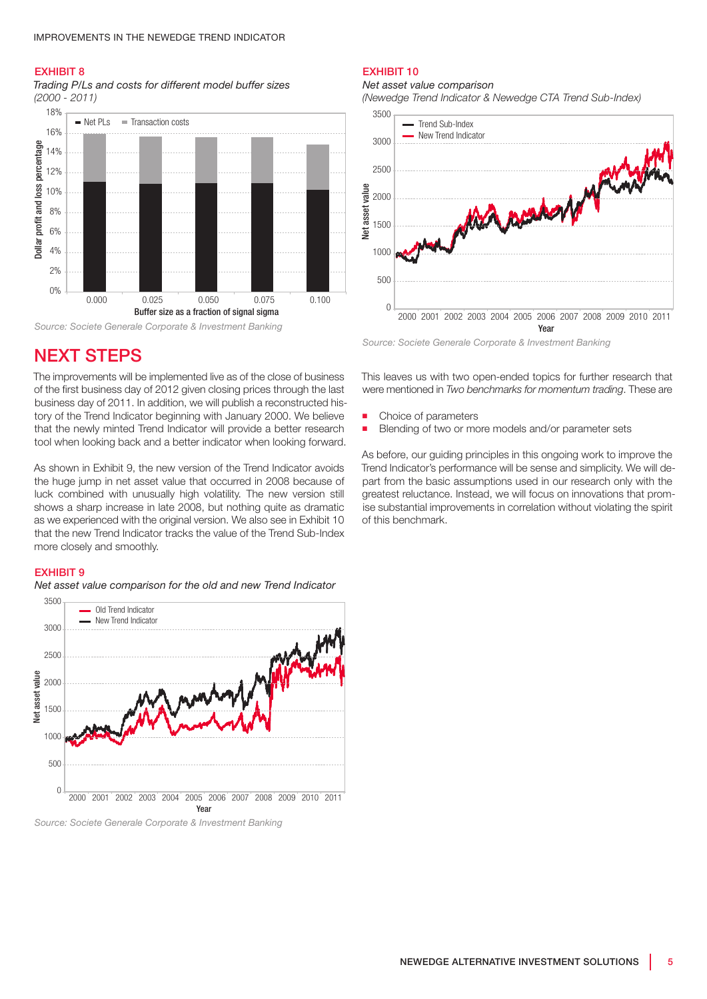#### Exhibit 8

*Trading P/Ls and costs for different model buffer sizes (2000 - 2011)*



# **NEXT STEPS**

The improvements will be implemented live as of the close of business of the first business day of 2012 given closing prices through the last business day of 2011. In addition, we will publish a reconstructed history of the Trend Indicator beginning with January 2000. We believe that the newly minted Trend Indicator will provide a better research tool when looking back and a better indicator when looking forward.

As shown in Exhibit 9, the new version of the Trend Indicator avoids the huge jump in net asset value that occurred in 2008 because of luck combined with unusually high volatility. The new version still shows a sharp increase in late 2008, but nothing quite as dramatic as we experienced with the original version. We also see in Exhibit 10 that the new Trend Indicator tracks the value of the Trend Sub-Index more closely and smoothly.

#### **EXHIBIT 9**

*Net asset value comparison for the old and new Trend Indicator*



*Source: Societe Generale Corporate & Investment Banking*

## Exhibit 10

*Net asset value comparison*

*(Newedge Trend Indicator & Newedge CTA Trend Sub-Index)*



*Source: Societe Generale Corporate & Investment Banking*

This leaves us with two open-ended topics for further research that were mentioned in *Two benchmarks for momentum trading*. These are

- Choice of parameters
- **Blending of two or more models and/or parameter sets**

As before, our guiding principles in this ongoing work to improve the Trend Indicator's performance will be sense and simplicity. We will depart from the basic assumptions used in our research only with the greatest reluctance. Instead, we will focus on innovations that promise substantial improvements in correlation without violating the spirit of this benchmark.